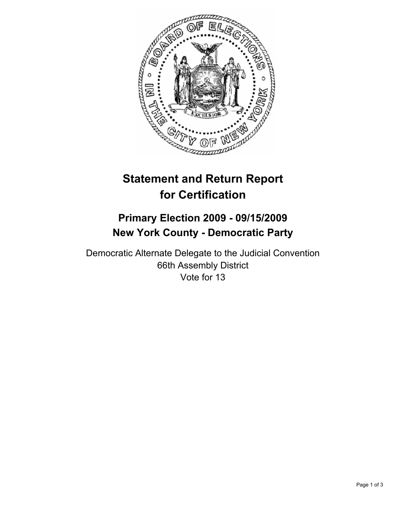

# **Statement and Return Report for Certification**

# **Primary Election 2009 - 09/15/2009 New York County - Democratic Party**

Democratic Alternate Delegate to the Judicial Convention 66th Assembly District Vote for 13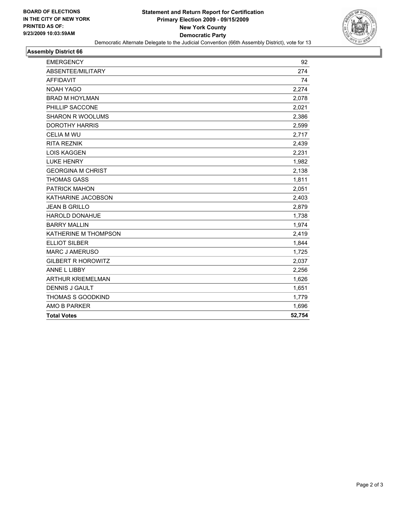

#### **Assembly District 66**

| <b>EMERGENCY</b>          | 92     |
|---------------------------|--------|
| ABSENTEE/MILITARY         | 274    |
| <b>AFFIDAVIT</b>          | 74     |
| <b>NOAH YAGO</b>          | 2,274  |
| <b>BRAD M HOYLMAN</b>     | 2,078  |
| PHILLIP SACCONE           | 2,021  |
| <b>SHARON R WOOLUMS</b>   | 2,386  |
| <b>DOROTHY HARRIS</b>     | 2,599  |
| <b>CELIA M WU</b>         | 2,717  |
| <b>RITA REZNIK</b>        | 2,439  |
| <b>LOIS KAGGEN</b>        | 2,231  |
| <b>LUKE HENRY</b>         | 1,982  |
| <b>GEORGINA M CHRIST</b>  | 2,138  |
| <b>THOMAS GASS</b>        | 1,811  |
| <b>PATRICK MAHON</b>      | 2,051  |
| KATHARINE JACOBSON        | 2,403  |
| <b>JEAN B GRILLO</b>      | 2,879  |
| <b>HAROLD DONAHUE</b>     | 1,738  |
| <b>BARRY MALLIN</b>       | 1,974  |
| KATHERINE M THOMPSON      | 2,419  |
| <b>ELLIOT SILBER</b>      | 1,844  |
| <b>MARC J AMERUSO</b>     | 1,725  |
| <b>GILBERT R HOROWITZ</b> | 2,037  |
| ANNE L LIBBY              | 2,256  |
| <b>ARTHUR KRIEMELMAN</b>  | 1,626  |
| <b>DENNIS J GAULT</b>     | 1,651  |
| <b>THOMAS S GOODKIND</b>  | 1,779  |
| AMO B PARKER              | 1,696  |
| <b>Total Votes</b>        | 52,754 |